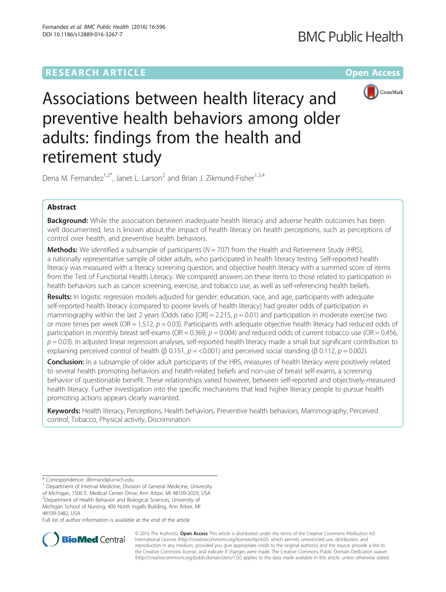# **RESEARCH ARTICLE Example 2014 12:30 The Community Community Community Community Community Community Community**



Associations between health literacy and preventive health behaviors among older adults: findings from the health and retirement study

Dena M. Fernandez $1.2^*$ , Janet L. Larson<sup>2</sup> and Brian J. Zikmund-Fisher $1.34$ 

# Abstract

**Background:** While the association between inadequate health literacy and adverse health outcomes has been well documented, less is known about the impact of health literacy on health perceptions, such as perceptions of control over health, and preventive health behaviors.

**Methods:** We identified a subsample of participants ( $N = 707$ ) from the Health and Retirement Study (HRS), a nationally representative sample of older adults, who participated in health literacy testing. Self-reported health literacy was measured with a literacy screening question, and objective health literacy with a summed score of items from the Test of Functional Health Literacy. We compared answers on these items to those related to participation in health behaviors such as cancer screening, exercise, and tobacco use, as well as self-referencing health beliefs.

Results: In logistic regression models adjusted for gender, education, race, and age, participants with adequate self-reported health literacy (compared to poorer levels of health literacy) had greater odds of participation in mammography within the last 2 years (Odds ratio  $[OR] = 2.215$ ,  $p = 0.01$ ) and participation in moderate exercise two or more times per week (OR = 1.512,  $p = 0.03$ ). Participants with adequate objective health literacy had reduced odds of participation in monthly breast self-exams (OR = 0.369,  $p = 0.004$ ) and reduced odds of current tobacco use (OR = 0.456,  $p = 0.03$ ). In adjusted linear regression analyses, self-reported health literacy made a small but significant contribution to explaining perceived control of health (β 0.151,  $p =$  <0.001) and perceived social standing (β 0.112,  $p = 0.002$ ).

**Conclusion:** In a subsample of older adult participants of the HRS, measures of health literacy were positively related to several health promoting behaviors and health-related beliefs and non-use of breast self-exams, a screening behavior of questionable benefit. These relationships varied however, between self-reported and objectively-measured health literacy. Further investigation into the specific mechanisms that lead higher literacy people to pursue health promoting actions appears clearly warranted.

Keywords: Health literacy, Perceptions, Health behaviors, Preventive health behaviors, Mammography, Perceived control, Tobacco, Physical activity, Discrimination

48109-5482, USA

Full list of author information is available at the end of the article



© 2016 The Author(s). Open Access This article is distributed under the terms of the Creative Commons Attribution 4.0 International License [\(http://creativecommons.org/licenses/by/4.0/](http://creativecommons.org/licenses/by/4.0/)), which permits unrestricted use, distribution, and reproduction in any medium, provided you give appropriate credit to the original author(s) and the source, provide a link to the Creative Commons license, and indicate if changes were made. The Creative Commons Public Domain Dedication waiver [\(http://creativecommons.org/publicdomain/zero/1.0/](http://creativecommons.org/publicdomain/zero/1.0/)) applies to the data made available in this article, unless otherwise stated.

<sup>\*</sup> Correspondence: [dfernand@umich.edu](mailto:dfernand@umich.edu) <sup>1</sup> Department of Internal Medicine, Division of General Medicine, University of Michigan, 1500 E. Medical Center Drive, Ann Arbor, MI 48109-2029, USA 2 Department of Health Behavior and Biological Sciences, University of Michigan School of Nursing, 400 North Ingalls Building, Ann Arbor, MI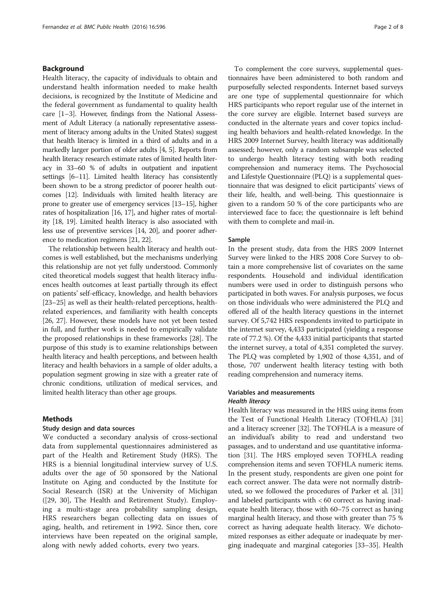## Background

Health literacy, the capacity of individuals to obtain and understand health information needed to make health decisions, is recognized by the Institute of Medicine and the federal government as fundamental to quality health care [\[1](#page-6-0)–[3](#page-6-0)]. However, findings from the National Assessment of Adult Literacy (a nationally representative assessment of literacy among adults in the United States) suggest that health literacy is limited in a third of adults and in a markedly larger portion of older adults [[4, 5](#page-6-0)]. Reports from health literacy research estimate rates of limited health literacy in 33–60 % of adults in outpatient and inpatient settings [\[6](#page-6-0)–[11\]](#page-6-0). Limited health literacy has consistently been shown to be a strong predictor of poorer health outcomes [\[12\]](#page-6-0). Individuals with limited health literacy are prone to greater use of emergency services [[13](#page-6-0)–[15](#page-6-0)], higher rates of hospitalization [\[16](#page-6-0), [17\]](#page-6-0), and higher rates of mortality [\[18, 19](#page-6-0)]. Limited health literacy is also associated with less use of preventive services [[14](#page-6-0), [20](#page-6-0)], and poorer adherence to medication regimens [\[21,](#page-6-0) [22\]](#page-7-0).

The relationship between health literacy and health outcomes is well established, but the mechanisms underlying this relationship are not yet fully understood. Commonly cited theoretical models suggest that health literacy influences health outcomes at least partially through its effect on patients' self-efficacy, knowledge, and health behaviors [[23](#page-7-0)–[25\]](#page-7-0) as well as their health-related perceptions, healthrelated experiences, and familiarity with health concepts [[26](#page-7-0), [27\]](#page-7-0). However, these models have not yet been tested in full, and further work is needed to empirically validate the proposed relationships in these frameworks [\[28](#page-7-0)]. The purpose of this study is to examine relationships between health literacy and health perceptions, and between health literacy and health behaviors in a sample of older adults, a population segment growing in size with a greater rate of chronic conditions, utilization of medical services, and limited health literacy than other age groups.

## Methods

## Study design and data sources

We conducted a secondary analysis of cross-sectional data from supplemental questionnaires administered as part of the Health and Retirement Study (HRS). The HRS is a biennial longitudinal interview survey of U.S. adults over the age of 50 sponsored by the National Institute on Aging and conducted by the Institute for Social Research (ISR) at the University of Michigan ([\[29, 30\]](#page-7-0), The Health and Retirement Study). Employing a multi-stage area probability sampling design, HRS researchers began collecting data on issues of aging, health, and retirement in 1992. Since then, core interviews have been repeated on the original sample, along with newly added cohorts, every two years.

To complement the core surveys, supplemental questionnaires have been administered to both random and purposefully selected respondents. Internet based surveys are one type of supplemental questionnaire for which HRS participants who report regular use of the internet in the core survey are eligible. Internet based surveys are conducted in the alternate years and cover topics including health behaviors and health-related knowledge. In the HRS 2009 Internet Survey, health literacy was additionally assessed; however, only a random subsample was selected to undergo health literacy testing with both reading comprehension and numeracy items. The Psychosocial and Lifestyle Questionnaire (PLQ) is a supplemental questionnaire that was designed to elicit participants' views of their life, health, and well-being. This questionnaire is given to a random 50 % of the core participants who are interviewed face to face; the questionnaire is left behind with them to complete and mail-in.

## Sample

In the present study, data from the HRS 2009 Internet Survey were linked to the HRS 2008 Core Survey to obtain a more comprehensive list of covariates on the same respondents. Household and individual identification numbers were used in order to distinguish persons who participated in both waves. For analysis purposes, we focus on those individuals who were administered the PLQ and offered all of the health literacy questions in the internet survey. Of 5,742 HRS respondents invited to participate in the internet survey, 4,433 participated (yielding a response rate of 77.2 %). Of the 4,433 initial participants that started the internet survey, a total of 4,351 completed the survey. The PLQ was completed by 1,902 of those 4,351, and of those, 707 underwent health literacy testing with both reading comprehension and numeracy items.

# Variables and measurements

## Health literacy

Health literacy was measured in the HRS using items from the Test of Functional Health Literacy (TOFHLA) [[31](#page-7-0)] and a literacy screener [\[32](#page-7-0)]. The TOFHLA is a measure of an individual's ability to read and understand two passages, and to understand and use quantitative information [[31](#page-7-0)]. The HRS employed seven TOFHLA reading comprehension items and seven TOFHLA numeric items. In the present study, respondents are given one point for each correct answer. The data were not normally distributed, so we followed the procedures of Parker et al. [[31](#page-7-0)] and labeled participants with < 60 correct as having inadequate health literacy, those with 60–75 correct as having marginal health literacy, and those with greater than 75 % correct as having adequate health literacy. We dichotomized responses as either adequate or inadequate by merging inadequate and marginal categories [\[33](#page-7-0)–[35\]](#page-7-0). Health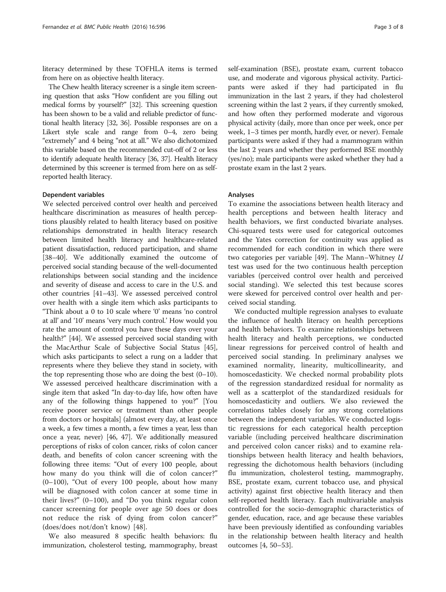literacy determined by these TOFHLA items is termed from here on as objective health literacy.

The Chew health literacy screener is a single item screening question that asks "How confident are you filling out medical forms by yourself?" [\[32](#page-7-0)]. This screening question has been shown to be a valid and reliable predictor of functional health literacy [[32](#page-7-0), [36](#page-7-0)]. Possible responses are on a Likert style scale and range from 0–4, zero being "extremely" and 4 being "not at all." We also dichotomized this variable based on the recommended cut-off of 2 or less to identify adequate health literacy [\[36, 37](#page-7-0)]. Health literacy determined by this screener is termed from here on as selfreported health literacy.

## Dependent variables

We selected perceived control over health and perceived healthcare discrimination as measures of health perceptions plausibly related to health literacy based on positive relationships demonstrated in health literacy research between limited health literacy and healthcare-related patient dissatisfaction, reduced participation, and shame [[38](#page-7-0)–[40\]](#page-7-0). We additionally examined the outcome of perceived social standing because of the well-documented relationships between social standing and the incidence and severity of disease and access to care in the U.S. and other countries [[41](#page-7-0)–[43\]](#page-7-0). We assessed perceived control over health with a single item which asks participants to "Think about a 0 to 10 scale where '0' means 'no control at all' and '10' means 'very much control.' How would you rate the amount of control you have these days over your health?" [\[44\]](#page-7-0). We assessed perceived social standing with the MacArthur Scale of Subjective Social Status [[45](#page-7-0)], which asks participants to select a rung on a ladder that represents where they believe they stand in society, with the top representing those who are doing the best  $(0-10)$ . We assessed perceived healthcare discrimination with a single item that asked "In day-to-day life, how often have any of the following things happened to you?" [You receive poorer service or treatment than other people from doctors or hospitals] (almost every day, at least once a week, a few times a month, a few times a year, less than once a year, never) [\[46, 47](#page-7-0)]. We additionally measured perceptions of risks of colon cancer, risks of colon cancer death, and benefits of colon cancer screening with the following three items: "Out of every 100 people, about how many do you think will die of colon cancer?" (0–100), "Out of every 100 people, about how many will be diagnosed with colon cancer at some time in their lives?" (0–100), and "Do you think regular colon cancer screening for people over age 50 does or does not reduce the risk of dying from colon cancer?" (does/does not/don't know) [\[48](#page-7-0)].

We also measured 8 specific health behaviors: flu immunization, cholesterol testing, mammography, breast

self-examination (BSE), prostate exam, current tobacco use, and moderate and vigorous physical activity. Participants were asked if they had participated in flu immunization in the last 2 years, if they had cholesterol screening within the last 2 years, if they currently smoked, and how often they performed moderate and vigorous physical activity (daily, more than once per week, once per week, 1–3 times per month, hardly ever, or never). Female participants were asked if they had a mammogram within the last 2 years and whether they performed BSE monthly (yes/no); male participants were asked whether they had a prostate exam in the last 2 years.

## Analyses

To examine the associations between health literacy and health perceptions and between health literacy and health behaviors, we first conducted bivariate analyses. Chi-squared tests were used for categorical outcomes and the Yates correction for continuity was applied as recommended for each condition in which there were two categories per variable [[49](#page-7-0)]. The Mann–Whitney  $U$ test was used for the two continuous health perception variables (perceived control over health and perceived social standing). We selected this test because scores were skewed for perceived control over health and perceived social standing.

We conducted multiple regression analyses to evaluate the influence of health literacy on health perceptions and health behaviors. To examine relationships between health literacy and health perceptions, we conducted linear regressions for perceived control of health and perceived social standing. In preliminary analyses we examined normality, linearity, multicollinearity, and homoscedasticity. We checked normal probability plots of the regression standardized residual for normality as well as a scatterplot of the standardized residuals for homoscedasticity and outliers. We also reviewed the correlations tables closely for any strong correlations between the independent variables. We conducted logistic regressions for each categorical health perception variable (including perceived healthcare discrimination and perceived colon cancer risks) and to examine relationships between health literacy and health behaviors, regressing the dichotomous health behaviors (including flu immunization, cholesterol testing, mammography, BSE, prostate exam, current tobacco use, and physical activity) against first objective health literacy and then self-reported health literacy. Each multivariable analysis controlled for the socio-demographic characteristics of gender, education, race, and age because these variables have been previously identified as confounding variables in the relationship between health literacy and health outcomes [\[4](#page-6-0), [50](#page-7-0)–[53\]](#page-7-0).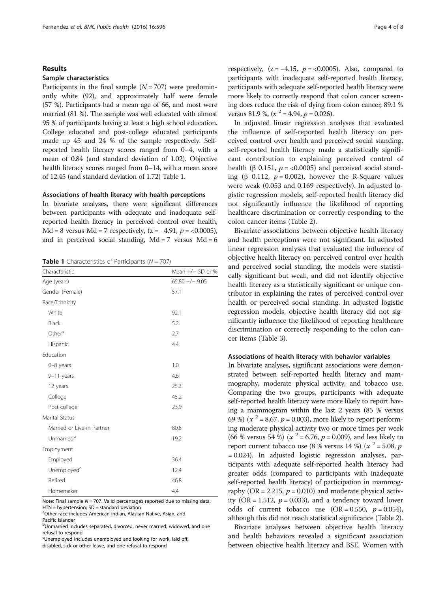## Results

## Sample characteristics

Participants in the final sample  $(N = 707)$  were predominantly white (92), and approximately half were female (57 %). Participants had a mean age of 66, and most were married (81 %). The sample was well educated with almost 95 % of participants having at least a high school education. College educated and post-college educated participants made up 45 and 24 % of the sample respectively. Selfreported health literacy scores ranged from 0–4, with a mean of 0.84 (and standard deviation of 1.02). Objective health literacy scores ranged from 0–14, with a mean score of 12.45 (and standard deviation of 1.72) Table 1.

## Associations of health literacy with health perceptions

In bivariate analyses, there were significant differences between participants with adequate and inadequate selfreported health literacy in perceived control over health,  $Md = 8$  versus  $Md = 7$  respectively,  $(z = -4.91, p = 0.0005)$ , and in perceived social standing,  $Md = 7$  versus  $Md = 6$ 

**Table 1** Characteristics of Participants ( $N = 707$ )

| Characteristic             | Mean $+/-$ SD or % |
|----------------------------|--------------------|
| Age (years)                | $65.80 +/- 9.05$   |
| Gender (Female)            | 57.1               |
| Race/Ethnicity             |                    |
| White                      | 92.1               |
| Black                      | 5.2                |
| Other <sup>a</sup>         | 2.7                |
| Hispanic                   | 4.4                |
| Education                  |                    |
| $0-8$ years                | 1.0                |
| 9-11 years                 | 4.6                |
| 12 years                   | 25.3               |
| College                    | 45.2               |
| Post-college               | 23.9               |
| <b>Marital Status</b>      |                    |
| Married or Live-in Partner | 80.8               |
| Unmarried <sup>b</sup>     | 19.2               |
| Employment                 |                    |
| Employed                   | 36.4               |
| Unemployed <sup>c</sup>    | 12.4               |
| Retired                    | 46.8               |
| Homemaker                  | 4.4                |

Note: Final sample  $N = 707$ . Valid percentages reported due to missing data.  $HTN = hypertension; SD = standard deviation$ 

<sup>a</sup>Other race includes American Indian, Alaskan Native, Asian, and Pacific Islander

disabled, sick or other leave, and one refusal to respond

respectively,  $(z = -4.15, p = <0.0005)$ . Also, compared to participants with inadequate self-reported health literacy, participants with adequate self-reported health literacy were more likely to correctly respond that colon cancer screening does reduce the risk of dying from colon cancer, 89.1 % versus 81.9 %,  $(x^2 = 4.94, p = 0.026)$ .

In adjusted linear regression analyses that evaluated the influence of self-reported health literacy on perceived control over health and perceived social standing, self-reported health literacy made a statistically significant contribution to explaining perceived control of health (β 0.151,  $p = < 0.0005$ ) and perceived social standing (β 0.112,  $p = 0.002$ ), however the R-Square values were weak (0.053 and 0.169 respectively). In adjusted logistic regression models, self-reported health literacy did not significantly influence the likelihood of reporting healthcare discrimination or correctly responding to the colon cancer items (Table [2](#page-4-0)).

Bivariate associations between objective health literacy and health perceptions were not significant. In adjusted linear regression analyses that evaluated the influence of objective health literacy on perceived control over health and perceived social standing, the models were statistically significant but weak, and did not identify objective health literacy as a statistically significant or unique contributor in explaining the rates of perceived control over health or perceived social standing. In adjusted logistic regression models, objective health literacy did not significantly influence the likelihood of reporting healthcare discrimination or correctly responding to the colon cancer items (Table [3](#page-4-0)).

#### Associations of health literacy with behavior variables

In bivariate analyses, significant associations were demonstrated between self-reported health literacy and mammography, moderate physical activity, and tobacco use. Comparing the two groups, participants with adequate self-reported health literacy were more likely to report having a mammogram within the last 2 years (85 % versus 69 %) ( $x^2 = 8.67$ ,  $p = 0.003$ ), more likely to report performing moderate physical activity two or more times per week (66 % versus 54 %) ( $x^2$  = 6.76,  $p$  = 0.009), and less likely to report current tobacco use (8 % versus 14 %)  $(x^2 = 5.08, p)$ = 0.024). In adjusted logistic regression analyses, participants with adequate self-reported health literacy had greater odds (compared to participants with inadequate self-reported health literacy) of participation in mammography (OR = 2.215,  $p = 0.010$ ) and moderate physical activity (OR = 1.512,  $p = 0.033$ ), and a tendency toward lower odds of current tobacco use  $(OR = 0.550, p = 0.054)$ , although this did not reach statistical significance (Table [2](#page-4-0)).

Bivariate analyses between objective health literacy and health behaviors revealed a significant association between objective health literacy and BSE. Women with

<sup>&</sup>lt;sup>b</sup>Unmarried includes separated, divorced, never married, widowed, and one refusal to respond

<sup>&</sup>lt;sup>c</sup>Unemployed includes unemployed and looking for work, laid off,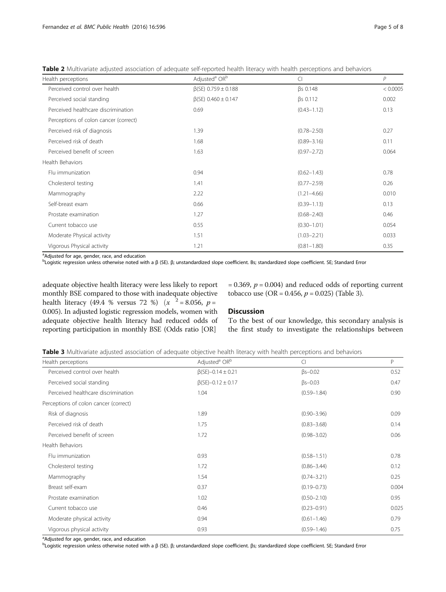| Health perceptions                    | Adjusted <sup>a</sup> OR <sup>b</sup> | $\subset$       | $\mathsf{P}$ |
|---------------------------------------|---------------------------------------|-----------------|--------------|
| Perceived control over health         | $\beta$ (SE) 0.759 ± 0.188            | $\beta$ s 0.148 | < 0.0005     |
| Perceived social standing             | $\beta$ (SE) 0.460 ± 0.147            | $\beta$ s 0.112 | 0.002        |
| Perceived healthcare discrimination   | 0.69                                  | $(0.43 - 1.12)$ | 0.13         |
| Perceptions of colon cancer (correct) |                                       |                 |              |
| Perceived risk of diagnosis           | 1.39                                  | $(0.78 - 2.50)$ | 0.27         |
| Perceived risk of death               | 1.68                                  | $(0.89 - 3.16)$ | 0.11         |
| Perceived benefit of screen           | 1.63                                  | $(0.97 - 2.72)$ | 0.064        |
| Health Behaviors                      |                                       |                 |              |
| Flu immunization                      | 0.94                                  | $(0.62 - 1.43)$ | 0.78         |
| Cholesterol testing                   | 1.41                                  | $(0.77 - 2.59)$ | 0.26         |
| Mammography                           | 2.22                                  | $(1.21 - 4.66)$ | 0.010        |
| Self-breast exam                      | 0.66                                  | $(0.39 - 1.13)$ | 0.13         |
| Prostate examination                  | 1.27                                  | $(0.68 - 2.40)$ | 0.46         |
| Current tobacco use                   | 0.55                                  | $(0.30 - 1.01)$ | 0.054        |
| Moderate Physical activity            | 1.51                                  | $(1.03 - 2.21)$ | 0.033        |
| Vigorous Physical activity            | 1.21                                  | $(0.81 - 1.80)$ | 0.35         |

<span id="page-4-0"></span>Table 2 Multivariate adjusted association of adequate self-reported health literacy with health perceptions and behaviors

<sup>a</sup>Adjusted for age, gender, race, and education

bLogistic regression unless otherwise noted with a β (SE). β; unstandardized slope coefficient. Bs; standardized slope coefficient. SE; Standard Error

adequate objective health literacy were less likely to report monthly BSE compared to those with inadequate objective health literacy (49.4 % versus 72 %) ( $x^{-2} = 8.056$ ,  $p =$ 0.005). In adjusted logistic regression models, women with adequate objective health literacy had reduced odds of reporting participation in monthly BSE (Odds ratio [OR]

 $= 0.369$ ,  $p = 0.004$ ) and reduced odds of reporting current tobacco use (OR = 0.456,  $p = 0.025$ ) (Table 3).

## **Discussion**

To the best of our knowledge, this secondary analysis is the first study to investigate the relationships between

| <b>Table 3</b> Multivariate adiusted association of adequate objective health literacy with health perceptions and behaviors |  |  |  |
|------------------------------------------------------------------------------------------------------------------------------|--|--|--|
|                                                                                                                              |  |  |  |

| Health perceptions                    | Adjusted <sup>a</sup> OR <sup>b</sup> | $\subset$       | P     |
|---------------------------------------|---------------------------------------|-----------------|-------|
| Perceived control over health         | $\beta$ (SE)-0.14 ± 0.21              | $\beta$ s-0.02  | 0.52  |
| Perceived social standing             | $\beta$ (SE)-0.12 ± 0.17              | $\beta$ s-0.03  | 0.47  |
| Perceived healthcare discrimination   | 1.04                                  | $(0.59 - 1.84)$ | 0.90  |
| Perceptions of colon cancer (correct) |                                       |                 |       |
| Risk of diagnosis                     | 1.89                                  | $(0.90 - 3.96)$ | 0.09  |
| Perceived risk of death               | 1.75                                  | $(0.83 - 3.68)$ | 0.14  |
| Perceived benefit of screen           | 1.72                                  | $(0.98 - 3.02)$ | 0.06  |
| Health Behaviors                      |                                       |                 |       |
| Flu immunization                      | 0.93                                  | $(0.58 - 1.51)$ | 0.78  |
| Cholesterol testing                   | 1.72                                  | $(0.86 - 3.44)$ | 0.12  |
| Mammography                           | 1.54                                  | $(0.74 - 3.21)$ | 0.25  |
| Breast self-exam                      | 0.37                                  | $(0.19 - 0.73)$ | 0.004 |
| Prostate examination                  | 1.02                                  | $(0.50 - 2.10)$ | 0.95  |
| Current tobacco use                   | 0.46                                  | $(0.23 - 0.91)$ | 0.025 |
| Moderate physical activity            | 0.94                                  | $(0.61 - 1.46)$ | 0.79  |
| Vigorous physical activity            | 0.93                                  | $(0.59 - 1.46)$ | 0.75  |

<sup>a</sup>Adjusted for age, gender, race, and education

bLogistic regression unless otherwise noted with a β (SE). β; unstandardized slope coefficient. βs; standardized slope coefficient. SE; Standard Error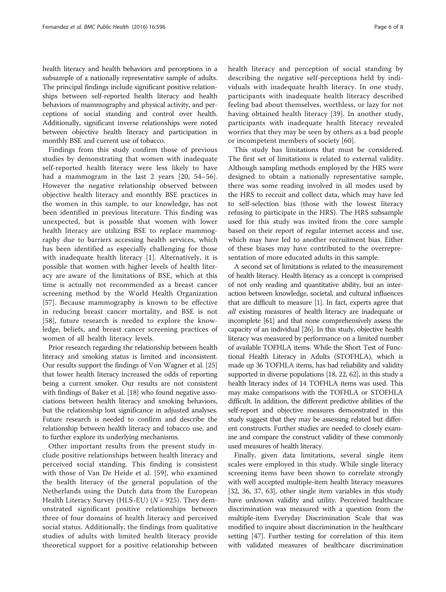health literacy and health behaviors and perceptions in a subsample of a nationally representative sample of adults. The principal findings include significant positive relationships between self-reported health literacy and health behaviors of mammography and physical activity, and perceptions of social standing and control over health. Additionally, significant inverse relationships were noted between objective health literacy and participation in monthly BSE and current use of tobacco.

Findings from this study confirm those of previous studies by demonstrating that women with inadequate self-reported health literacy were less likely to have had a mammogram in the last 2 years [\[20](#page-6-0), [54](#page-7-0)–[56](#page-7-0)]. However the negative relationship observed between objective health literacy and monthly BSE practices in the women in this sample, to our knowledge, has not been identified in previous literature. This finding was unexpected, but is possible that women with lower health literacy are utilizing BSE to replace mammography due to barriers accessing health services, which has been identified as especially challenging for those with inadequate health literacy [\[1](#page-6-0)]. Alternatively, it is possible that women with higher levels of health literacy are aware of the limitations of BSE, which at this time is actually not recommended as a breast cancer screening method by the World Health Organization [[57\]](#page-7-0). Because mammography is known to be effective in reducing breast cancer mortality, and BSE is not [[58\]](#page-7-0), future research is needed to explore the knowledge, beliefs, and breast cancer screening practices of women of all health literacy levels.

Prior research regarding the relationship between health literacy and smoking status is limited and inconsistent. Our results support the findings of Von Wagner et al. [[25](#page-7-0)] that lower health literacy increased the odds of reporting being a current smoker. Our results are not consistent with findings of Baker et al. [[18](#page-6-0)] who found negative associations between health literacy and smoking behaviors, but the relationship lost significance in adjusted analyses. Future research is needed to confirm and describe the relationship between health literacy and tobacco use, and to further explore its underlying mechanisms.

Other important results from the present study include positive relationships between health literacy and perceived social standing. This finding is consistent with those of Van De Heide et al. [\[59](#page-7-0)], who examined the health literacy of the general population of the Netherlands using the Dutch data from the European Health Literacy Survey (HLS-EU) ( $N = 925$ ). They demonstrated significant positive relationships between three of four domains of health literacy and perceived social status. Additionally, the findings from qualitative studies of adults with limited health literacy provide theoretical support for a positive relationship between health literacy and perception of social standing by describing the negative self-perceptions held by individuals with inadequate health literacy. In one study, participants with inadequate health literacy described feeling bad about themselves, worthless, or lazy for not having obtained health literacy [[39\]](#page-7-0). In another study, participants with inadequate health literacy revealed worries that they may be seen by others as a bad people or incompetent members of society [\[60](#page-7-0)].

This study has limitations that must be considered. The first set of limitations is related to external validity. Although sampling methods employed by the HRS were designed to obtain a nationally representative sample, there was some reading involved in all modes used by the HRS to recruit and collect data, which may have led to self-selection bias (those with the lowest literacy refusing to participate in the HRS). The HRS subsample used for this study was invited from the core sample based on their report of regular internet access and use, which may have led to another recruitment bias. Either of these biases may have contributed to the overrepresentation of more educated adults in this sample.

A second set of limitations is related to the measurement of health literacy. Health literacy as a concept is comprised of not only reading and quantitative ability, but an interaction between knowledge, societal, and cultural influences that are difficult to measure [\[1\]](#page-6-0). In fact, experts agree that all existing measures of health literacy are inadequate or incomplete [[61](#page-7-0)] and that none comprehensively assess the capacity of an individual [\[26](#page-7-0)]. In this study, objective health literacy was measured by performance on a limited number of available TOFHLA items. While the Short Test of Functional Health Literacy in Adults (STOFHLA), which is made up 36 TOFHLA items, has had reliability and validity supported in diverse populations [\[18,](#page-6-0) [22, 62\]](#page-7-0), in this study a health literacy index of 14 TOFHLA items was used. This may make comparisons with the TOFHLA or STOFHLA difficult. In addition, the different predictive abilities of the self-report and objective measures demonstrated in this study suggest that they may be assessing related but different constructs. Further studies are needed to closely examine and compare the construct validity of these commonly used measures of health literacy.

Finally, given data limitations, several single item scales were employed in this study. While single literacy screening items have been shown to correlate strongly with well accepted multiple-item health literacy measures [[32](#page-7-0), [36](#page-7-0), [37, 63\]](#page-7-0), other single item variables in this study have unknown validity and utility. Perceived healthcare discrimination was measured with a question from the multiple-item Everyday Discrimination Scale that was modified to inquire about discrimination in the healthcare setting [\[47\]](#page-7-0). Further testing for correlation of this item with validated measures of healthcare discrimination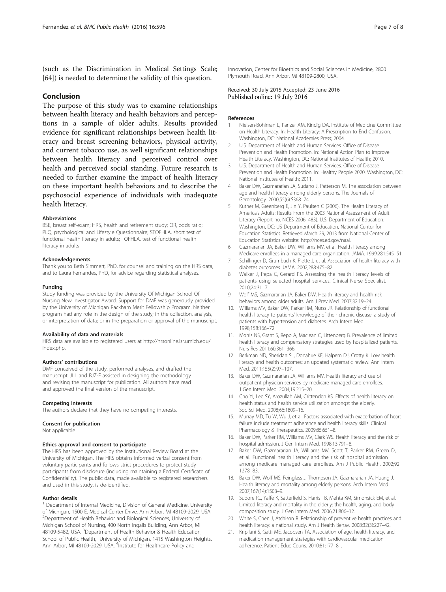<span id="page-6-0"></span>(such as the Discrimination in Medical Settings Scale; [[64](#page-7-0)]) is needed to determine the validity of this question.

## Conclusion

The purpose of this study was to examine relationships between health literacy and health behaviors and perceptions in a sample of older adults. Results provided evidence for significant relationships between health literacy and breast screening behaviors, physical activity, and current tobacco use, as well significant relationships between health literacy and perceived control over health and perceived social standing. Future research is needed to further examine the impact of health literacy on these important health behaviors and to describe the psychosocial experience of individuals with inadequate health literacy.

#### Abbreviations

BSE, breast self-exam; HRS, health and retirement study; OR, odds ratio; PLQ, psychological and Lifestyle Questionnaire; STOFHLA, short test of functional health literacy in adults; TOFHLA, test of functional health literacy in adults

#### Acknowledgements

Thank you to Beth Simmert, PhD, for counsel and training on the HRS data, and to Laura Fernandes, PhD, for advice regarding statistical analyses.

#### Funding

Study funding was provided by the University Of Michigan School Of Nursing New Investigator Award. Support for DMF was generously provided by the University of Michigan Rackham Merit Fellowship Program. Neither program had any role in the design of the study; in the collection, analysis, or interpretation of data; or in the preparation or approval of the manuscript.

#### Availability of data and materials

HRS data are available to registered users at [http://hrsonline.isr.umich.edu/](http://hrsonline.isr.umich.edu/index.php) [index.php.](http://hrsonline.isr.umich.edu/index.php)

#### Authors' contributions

DMF conceived of the study, performed analyses, and drafted the manuscript. JLL and BJZ-F assisted in designing the methodology and revising the manuscript for publication. All authors have read and approved the final version of the manuscript.

#### Competing interests

The authors declare that they have no competing interests.

#### Consent for publication

Not applicable.

#### Ethics approval and consent to participate

The HRS has been approved by the Institutional Review Board at the University of Michigan. The HRS obtains informed verbal consent from voluntary participants and follows strict procedures to protect study participants from disclosure (including maintaining a Federal Certificate of Confidentiality). The public data, made available to registered researchers and used in this study, is de-identified.

#### Author details

Department of Internal Medicine, Division of General Medicine, University of Michigan, 1500 E. Medical Center Drive, Ann Arbor, MI 48109-2029, USA. <sup>2</sup>Department of Health Behavior and Biological Sciences, University of Michigan School of Nursing, 400 North Ingalls Building, Ann Arbor, MI 48109-5482, USA. <sup>3</sup>Department of Health Behavior & Health Education, School of Public Health, University of Michigan, 1415 Washington Heights, Ann Arbor, MI 48109-2029, USA. <sup>4</sup>Institute for Healthcare Policy and

Innovation, Center for Bioethics and Social Sciences in Medicine, 2800 Plymouth Road, Ann Arbor, MI 48109-2800, USA.

Received: 30 July 2015 Accepted: 23 June 2016 Published online: 19 July 2016

#### References

- 1. Nielsen-Bohlman L, Panzer AM, Kindig DA. Institute of Medicine Committee on Health Literacy. In: Health Literacy: A Prescription to End Confusion. Washington, DC: National Academies Press; 2004.
- 2. U.S. Department of Health and Human Services. Office of Disease Prevention and Health Promotion. In: National Action Plan to Improve Health Literacy. Washington, DC: National Institutes of Health; 2010.
- 3. U.S. Department of Health and Human Services. Office of Disease Prevention and Health Promotion. In: Healthy People 2020. Washington, DC: National Institutes of Health; 2011.
- 4. Baker DW, Gazmararian JA, Sudano J, Patterson M, The association between age and health literacy among elderly persons. The Journals of Gerontology. 2000;55(6):S368–74.
- 5. Kutner M, Greenberg E, Jin Y, Paulsen C (2006). The Health Literacy of America's Adults: Results From the 2003 National Assessment of Adult Literacy (Report no. NCES 2006–483). U.S. Department of Education. Washington, DC: US Department of Education, National Center for Education Statistics. Retrieved March 29, 2013 from National Center of Education Statistics website:<http://nces.ed.gov/naal>.
- 6. Gazmararian JA, Baker DW, Williams MV, et al. Health literacy among Medicare enrollees in a managed care organization. JAMA. 1999;281:545–51.
- 7. Schillinger D, Grumbach K, Piette J, et al. Association of health literacy with diabetes outcomes. JAMA. 2002;288:475–82.
- 8. Walker J, Pepa C, Gerard PS. Assessing the health literacy levels of patients using selected hospital services. Clinical Nurse Specialist. 2010;24:31–7.
- 9. Wolf MS, Gazmararian JA, Baker DW. Health literacy and health risk behaviors among older adults. Am J Prev Med. 2007;32:19–24.
- 10. Williams MV, Baker DW, Parker RM, Nurss JR. Relationship of functional health literacy to patients' knowledge of their chronic disease: a study of patients with hypertension and diabetes. Arch Intern Med. 1998;158:166–72.
- 11. Morris NS, Grant S, Repp A, Maclean C, Littenberg B. Prevalence of limited health literacy and compensatory strategies used by hospitalized patients. Nurs Res 2011;60;361–366.
- 12. Berkman ND, Sheridan SL, Donahue KE, Halpern DJ, Crotty K, Low health literacy and health outcomes: an updated systematic review. Ann Intern Med. 2011;155(2):97–107.
- 13. Baker DW, Gazmararian JA, Williams MV. Health literacy and use of outpatient physician services by medicare managed care enrollees. J Gen Intern Med. 2004;19:215–20.
- 14. Cho YI, Lee SY, Arozullah AM, Crittenden KS. Effects of health literacy on health status and health service utilization amongst the elderly. Soc Sci Med. 2008;66:1809–16.
- 15. Murray MD, Tu W, Wu J, et al. Factors associated with exacerbation of heart failure include treatment adherence and health literacy skills. Clinical Pharmacology & Therapeutics. 2009;85:651–8.
- 16. Baker DW, Parker RM, Williams MV, Clark WS. Health literacy and the risk of hospital admission. J Gen Intern Med. 1998;13:791–8.
- 17. Baker DW, Gazmararian JA, Williams MV, Scott T, Parker RM, Green D, et al. Functional health literacy and the risk of hospital admission among medicare managed care enrollees. Am J Public Health. 2002;92: 1278–83.
- 18. Baker DW, Wolf MS, Feinglass J, Thompson JA, Gazmararian JA, Huang J. Health literacy and mortality among elderly persons. Arch Intern Med. 2007;167(14):1503–9.
- 19. Sudore RL, Yaffe K, Satterfield S, Harris TB, Mehta KM, Simonsick EM, et al. Limited literacy and mortality in the elderly: the health, aging, and body composition study. J Gen Intern Med. 2006;21:806–12.
- 20. White S, Chen J, Atchison R. Relationship of preventive health practices and health literacy: a national study. Am J Health Behav. 2008;32(3):227–42.
- 21. Kripilani S, Gatti ME, Jacobsen TA. Association of age, health literacy, and medication management strategies with cardiovascular medication adherence. Patient Educ Couns. 2010;81:177–81.